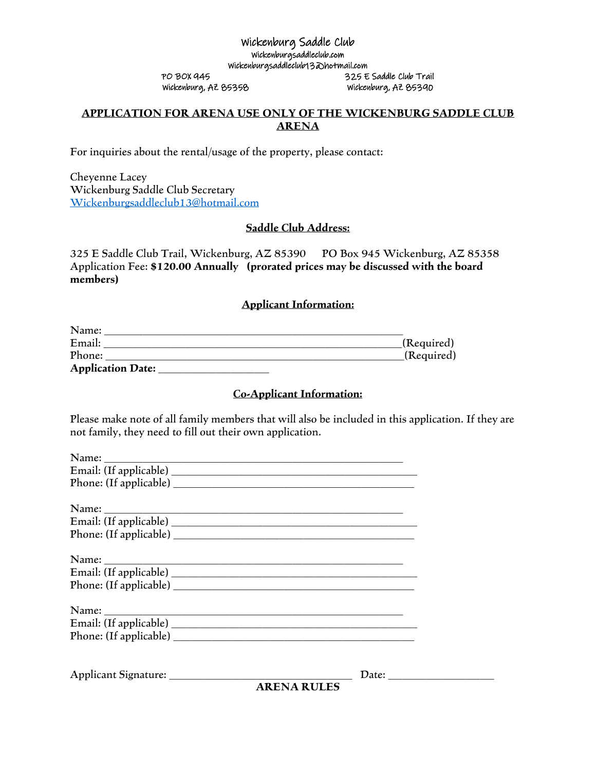#### Wickenburg Saddle Club Wickenburgsaddleclub.com Wickenburgsaddleclub13@hotmail.com PO BOX 945 325 E Saddle Club Trail Wickenburg, AZ 85358 Wickenburg, AZ 85390

## **APPLICATION FOR ARENA USE ONLY OF THE WICKENBURG SADDLE CLUB ARENA**

For inquiries about the rental/usage of the property, please contact:

Cheyenne Lacey Wickenburg Saddle Club Secretary [Wickenburgsaddleclub13@hotmail.com](mailto:Wickenburgsaddleclub13@hotmail.com)

## **Saddle Club Address:**

325 E Saddle Club Trail, Wickenburg, AZ 85390 PO Box 945 Wickenburg, AZ 85358 Application Fee: **\$120.00 Annually (prorated prices may be discussed with the board members)**

#### **Applicant Information:**

| Name:                    |            |
|--------------------------|------------|
| Email:                   | (Required) |
| Phone:                   | (Required) |
| <b>Application Date:</b> |            |

#### **Co-Applicant Information:**

Please make note of all family members that will also be included in this application. If they are not family, they need to fill out their own application.

| <b>ARENA RULES</b> |  |
|--------------------|--|